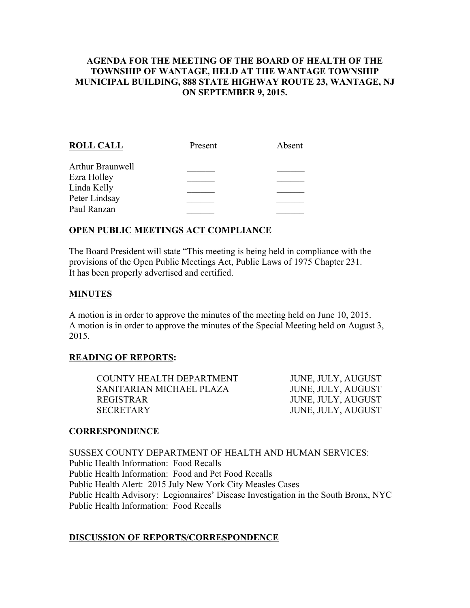# AGENDA FOR THE MEETING OF THE BOARD OF HEALTH OF THE TOWNSHIP OF WANTAGE, HELD AT THE WANTAGE TOWNSHIP MUNICIPAL BUILDING, 888 STATE HIGHWAY ROUTE 23, WANTAGE, NJ ON SEPTEMBER 9, 2015.

| <b>ROLL CALL</b> | Present | Absent |
|------------------|---------|--------|
| Arthur Braunwell |         |        |
| Ezra Holley      |         |        |
| Linda Kelly      |         |        |
| Peter Lindsay    |         |        |
| Paul Ranzan      |         |        |
|                  |         |        |

# OPEN PUBLIC MEETINGS ACT COMPLIANCE

The Board President will state "This meeting is being held in compliance with the provisions of the Open Public Meetings Act, Public Laws of 1975 Chapter 231. It has been properly advertised and certified.

### MINUTES

A motion is in order to approve the minutes of the meeting held on June 10, 2015. A motion is in order to approve the minutes of the Special Meeting held on August 3, 2015.

### READING OF REPORTS:

| COUNTY HEALTH DEPARTMENT | JUNE, JULY, AUGUST |
|--------------------------|--------------------|
| SANITARIAN MICHAEL PLAZA | JUNE, JULY, AUGUST |
| <b>REGISTRAR</b>         | JUNE, JULY, AUGUST |
| <b>SECRETARY</b>         | JUNE, JULY, AUGUST |

#### CORRESPONDENCE

SUSSEX COUNTY DEPARTMENT OF HEALTH AND HUMAN SERVICES: Public Health Information: Food Recalls Public Health Information: Food and Pet Food Recalls Public Health Alert: 2015 July New York City Measles Cases Public Health Advisory: Legionnaires' Disease Investigation in the South Bronx, NYC Public Health Information: Food Recalls

#### DISCUSSION OF REPORTS/CORRESPONDENCE